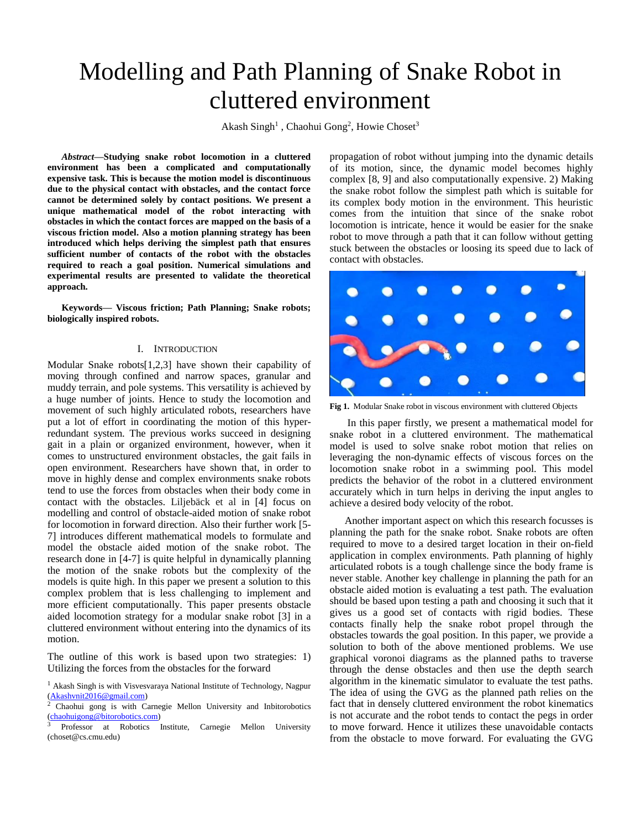# Modelling and Path Planning of Snake Robot in cluttered environment

Akash Singh<sup>1</sup>, Chaohui Gong<sup>2</sup>, Howie Choset<sup>3</sup>

*Abstract***—Studying snake robot locomotion in a cluttered environment has been a complicated and computationally expensive task. This is because the motion model is discontinuous due to the physical contact with obstacles, and the contact force cannot be determined solely by contact positions. We present a unique mathematical model of the robot interacting with obstacles in which the contact forces are mapped on the basis of a viscous friction model. Also a motion planning strategy has been introduced which helps deriving the simplest path that ensures sufficient number of contacts of the robot with the obstacles required to reach a goal position. Numerical simulations and experimental results are presented to validate the theoretical approach.**

**Keywords— Viscous friction; Path Planning; Snake robots; biologically inspired robots.**

## I. INTRODUCTION

Modular Snake robots[1,2,3] have shown their capability of moving through confined and narrow spaces, granular and muddy terrain, and pole systems. This versatility is achieved by a huge number of joints. Hence to study the locomotion and movement of such highly articulated robots, researchers have put a lot of effort in coordinating the motion of this hyperredundant system. The previous works succeed in designing gait in a plain or organized environment, however, when it comes to unstructured environment obstacles, the gait fails in open environment. Researchers have shown that, in order to move in highly dense and complex environments snake robots tend to use the forces from obstacles when their body come in contact with the obstacles. Liljebäck et al in [4] focus on modelling and control of obstacle-aided motion of snake robot for locomotion in forward direction. Also their further work [5- 7] introduces different mathematical models to formulate and model the obstacle aided motion of the snake robot. The research done in [4-7] is quite helpful in dynamically planning the motion of the snake robots but the complexity of the models is quite high. In this paper we present a solution to this complex problem that is less challenging to implement and more efficient computationally. This paper presents obstacle aided locomotion strategy for a modular snake robot [3] in a cluttered environment without entering into the dynamics of its motion.

The outline of this work is based upon two strategies: 1) Utilizing the forces from the obstacles for the forward

propagation of robot without jumping into the dynamic details of its motion, since, the dynamic model becomes highly complex [8, 9] and also computationally expensive. 2) Making the snake robot follow the simplest path which is suitable for its complex body motion in the environment. This heuristic comes from the intuition that since of the snake robot locomotion is intricate, hence it would be easier for the snake robot to move through a path that it can follow without getting stuck between the obstacles or loosing its speed due to lack of contact with obstacles.



**Fig 1.** Modular Snake robot in viscous environment with cluttered Objects

In this paper firstly, we present a mathematical model for snake robot in a cluttered environment. The mathematical model is used to solve snake robot motion that relies on leveraging the non-dynamic effects of viscous forces on the locomotion snake robot in a swimming pool. This model predicts the behavior of the robot in a cluttered environment accurately which in turn helps in deriving the input angles to achieve a desired body velocity of the robot.

Another important aspect on which this research focusses is planning the path for the snake robot. Snake robots are often required to move to a desired target location in their on-field application in complex environments. Path planning of highly articulated robots is a tough challenge since the body frame is never stable. Another key challenge in planning the path for an obstacle aided motion is evaluating a test path. The evaluation should be based upon testing a path and choosing it such that it gives us a good set of contacts with rigid bodies. These contacts finally help the snake robot propel through the obstacles towards the goal position. In this paper, we provide a solution to both of the above mentioned problems. We use graphical voronoi diagrams as the planned paths to traverse through the dense obstacles and then use the depth search algorithm in the kinematic simulator to evaluate the test paths. The idea of using the GVG as the planned path relies on the fact that in densely cluttered environment the robot kinematics is not accurate and the robot tends to contact the pegs in order to move forward. Hence it utilizes these unavoidable contacts from the obstacle to move forward. For evaluating the GVG

<sup>&</sup>lt;sup>1</sup> Akash Singh is with Visvesvaraya National Institute of Technology, Nagpur  $\frac{\text{(Akashvnit2016@gmail.com)}}{2 \text{Chashui qong is with } C}$  $\frac{\text{(Akashvnit2016@gmail.com)}}{2 \text{Chashui qong is with } C}$  $\frac{\text{(Akashvnit2016@gmail.com)}}{2 \text{Chashui qong is with } C}$ 

<sup>2</sup> Chaohui gong is with Carnegie Mellon University and Inbitorobotics [\(chaohuigong@bitorobotics.com\)](mailto:chaohuigong@bitorobotics.com)

<sup>3</sup> Professor at Robotics Institute, Carnegie Mellon University (choset@cs.cmu.edu)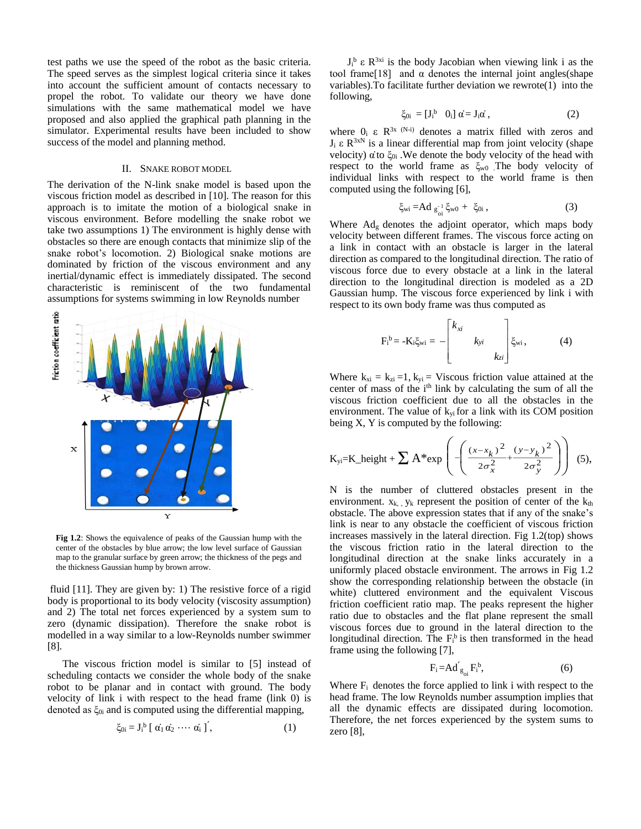test paths we use the speed of the robot as the basic criteria. The speed serves as the simplest logical criteria since it takes into account the sufficient amount of contacts necessary to propel the robot. To validate our theory we have done simulations with the same mathematical model we have proposed and also applied the graphical path planning in the simulator. Experimental results have been included to show success of the model and planning method.

#### II. SNAKE ROBOT MODEL

The derivation of the N-link snake model is based upon the viscous friction model as described in [10]. The reason for this approach is to imitate the motion of a biological snake in viscous environment. Before modelling the snake robot we take two assumptions 1) The environment is highly dense with obstacles so there are enough contacts that minimize slip of the snake robot's locomotion. 2) Biological snake motions are dominated by friction of the viscous environment and any inertial/dynamic effect is immediately dissipated. The second characteristic is reminiscent of the two fundamental assumptions for systems swimming in low Reynolds number



**Fig 1.2**: Shows the equivalence of peaks of the Gaussian hump with the center of the obstacles by blue arrow; the low level surface of Gaussian map to the granular surface by green arrow; the thickness of the pegs and the thickness Gaussian hump by brown arrow.

fluid [11]. They are given by: 1) The resistive force of a rigid body is proportional to its body velocity (viscosity assumption) and 2) The total net forces experienced by a system sum to zero (dynamic dissipation). Therefore the snake robot is modelled in a way similar to a low-Reynolds number swimmer [8].

The viscous friction model is similar to [5] instead of scheduling contacts we consider the whole body of the snake robot to be planar and in contact with ground. The body velocity of link i with respect to the head frame (link 0) is denoted as  $\xi_{0i}$  and is computed using the differential mapping,

$$
\xi_{0i} = J_i^b \left[ \alpha_1 \alpha_2 \cdots \alpha_i \right], \tag{1}
$$

 $J_i^b$  ε R<sup>3xi</sup> is the body Jacobian when viewing link i as the tool frame<sup>[18]</sup> and  $\alpha$  denotes the internal joint angles(shape variables).To facilitate further deviation we rewrote(1) into the following,

$$
\xi_{0i} = [J_i^b \quad 0_i] \ \alpha = J_i \alpha \,, \tag{2}
$$

where  $0_i$  ε  $R^{3x(N-i)}$  denotes a matrix filled with zeros and  $J_i \varepsilon R^{3xN}$  is a linear differential map from joint velocity (shape velocity)  $\alpha$  to  $\xi_{0i}$ . We denote the body velocity of the head with respect to the world frame as  $\xi_{\rm w0}$ . The body velocity of individual links with respect to the world frame is then computed using the following [6],

$$
\xi_{\rm wi} = Ad \, g_{\rm ci}^{-1} \xi_{\rm w0} + \xi_{0i} \,, \tag{3}
$$

Where Adg denotes the adjoint operator, which maps body velocity between different frames. The viscous force acting on a link in contact with an obstacle is larger in the lateral direction as compared to the longitudinal direction. The ratio of viscous force due to every obstacle at a link in the lateral direction to the longitudinal direction is modeled as a 2D Gaussian hump. The viscous force experienced by link i with respect to its own body frame was thus computed as

$$
F_i^{\text{b}} = -K_i \xi_{\text{wi}} = -\begin{bmatrix} k_{xi} & & \\ & k_{yi} & \\ & & k_{zi} \end{bmatrix} \xi_{\text{wi}}, \tag{4}
$$

Where  $k_{xi} = k_{zi} = 1$ ,  $k_{yi} = V$  iscous friction value attained at the center of mass of the i<sup>th</sup> link by calculating the sum of all the viscous friction coefficient due to all the obstacles in the environment. The value of  $k_{vi}$  for a link with its COM position being X, Y is computed by the following:

$$
K_{yi}=K_{height} + \sum A^* exp\left(-\left(\frac{(x-x_k)^2}{2\sigma_x^2} + \frac{(y-y_k)^2}{2\sigma_y^2}\right)\right)
$$
 (5),

N is the number of cluttered obstacles present in the environment.  $x_{k}$ ,  $y_k$  represent the position of center of the  $k_{th}$ obstacle. The above expression states that if any of the snake's link is near to any obstacle the coefficient of viscous friction increases massively in the lateral direction. Fig 1.2(top) shows the viscous friction ratio in the lateral direction to the longitudinal direction at the snake links accurately in a uniformly placed obstacle environment. The arrows in Fig 1.2 show the corresponding relationship between the obstacle (in white) cluttered environment and the equivalent Viscous friction coefficient ratio map. The peaks represent the higher ratio due to obstacles and the flat plane represent the small viscous forces due to ground in the lateral direction to the longitudinal direction. The  $F_i^b$  is then transformed in the head frame using the following [7],

$$
F_i = Ad^{'g}_{g_{0i}} F_i^b, \tag{6}
$$

Where  $F_i$  denotes the force applied to link i with respect to the head frame. The low Reynolds number assumption implies that all the dynamic effects are dissipated during locomotion. Therefore, the net forces experienced by the system sums to zero [8],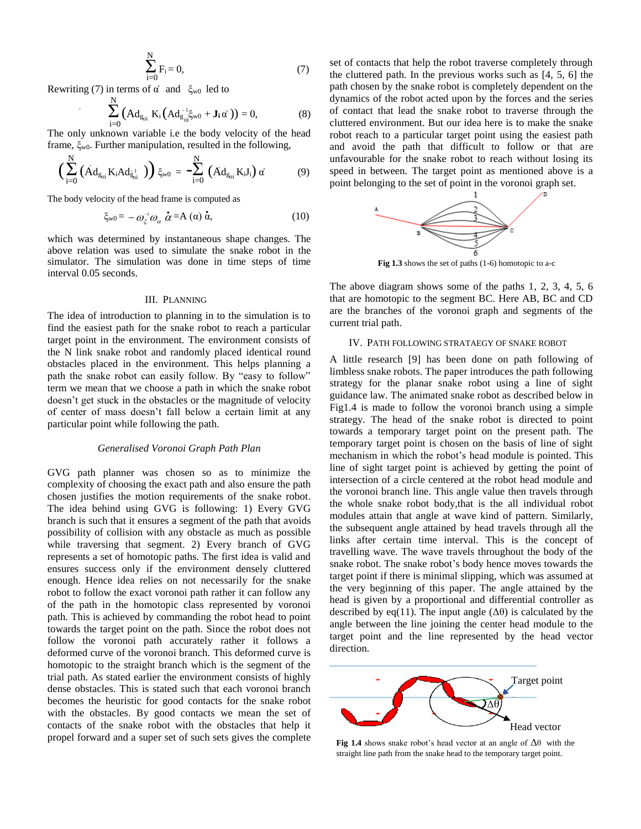$$
\sum_{i=0}^{N} F_i = 0,\t\t(7)
$$

Rewriting (7) in terms of  $\alpha$  and  $\xi_{w0}$  led to

$$
\sum_{i=0}^{N} \left( \mathbf{A} \mathbf{d}_{g_{oi}} \mathbf{K}_{i} \left( \mathbf{A} \mathbf{d}_{g_{oi}}^{-1} \xi_{w0} + \mathbf{J}_{i} \alpha \right) \right) = 0, \tag{8}
$$

The only unknown variable i.e the body velocity of the head frame,  $\xi_{\rm w0}$ . Further manipulation, resulted in the following,

$$
\Big(\sum_{i=0}^{N}\left(\dot{A}d_{g_{0i}}K_{i}Ad_{g_{0i}}^{-1}\right)\Big)\xi_{w0} = -\sum_{i=0}^{N}\left(\dot{A}d_{g_{0i}}K_{i}J_{i}\right)\alpha\tag{9}
$$

The body velocity of the head frame is computed as

$$
\xi_{\text{w0}} = -\omega_{\xi}^{-1} \omega_{\alpha} \, \dot{\alpha} = A \left( \alpha \right) \dot{\alpha}, \tag{10}
$$

which was determined by instantaneous shape changes. The above relation was used to simulate the snake robot in the simulator. The simulation was done in time steps of time interval 0.05 seconds.

# III. PLANNING

The idea of introduction to planning in to the simulation is to find the easiest path for the snake robot to reach a particular target point in the environment. The environment consists of the N link snake robot and randomly placed identical round obstacles placed in the environment. This helps planning a path the snake robot can easily follow. By "easy to follow" term we mean that we choose a path in which the snake robot doesn't get stuck in the obstacles or the magnitude of velocity of center of mass doesn't fall below a certain limit at any particular point while following the path.

## *Generalised Voronoi Graph Path Plan*

GVG path planner was chosen so as to minimize the complexity of choosing the exact path and also ensure the path chosen justifies the motion requirements of the snake robot. The idea behind using GVG is following: 1) Every GVG branch is such that it ensures a segment of the path that avoids possibility of collision with any obstacle as much as possible while traversing that segment. 2) Every branch of GVG represents a set of homotopic paths. The first idea is valid and ensures success only if the environment densely cluttered enough. Hence idea relies on not necessarily for the snake robot to follow the exact voronoi path rather it can follow any of the path in the homotopic class represented by voronoi path. This is achieved by commanding the robot head to point towards the target point on the path. Since the robot does not follow the voronoi path accurately rather it follows a deformed curve of the voronoi branch. This deformed curve is homotopic to the straight branch which is the segment of the trial path. As stated earlier the environment consists of highly dense obstacles. This is stated such that each voronoi branch becomes the heuristic for good contacts for the snake robot with the obstacles. By good contacts we mean the set of contacts of the snake robot with the obstacles that help it propel forward and a super set of such sets gives the complete

set of contacts that help the robot traverse completely through the cluttered path. In the previous works such as [4, 5, 6] the path chosen by the snake robot is completely dependent on the dynamics of the robot acted upon by the forces and the series of contact that lead the snake robot to traverse through the cluttered environment. But our idea here is to make the snake robot reach to a particular target point using the easiest path and avoid the path that difficult to follow or that are unfavourable for the snake robot to reach without losing its speed in between. The target point as mentioned above is a point belonging to the set of point in the voronoi graph set.



**Fig 1.3** shows the set of paths (1-6) homotopic to a-c

The above diagram shows some of the paths 1, 2, 3, 4, 5, 6 that are homotopic to the segment BC. Here AB, BC and CD are the branches of the voronoi graph and segments of the current trial path.

## IV. PATH FOLLOWING STRATAEGY OF SNAKE ROBOT

A little research [9] has been done on path following of limbless snake robots. The paper introduces the path following strategy for the planar snake robot using a line of sight guidance law. The animated snake robot as described below in Fig1.4 is made to follow the voronoi branch using a simple strategy. The head of the snake robot is directed to point towards a temporary target point on the present path. The temporary target point is chosen on the basis of line of sight mechanism in which the robot's head module is pointed. This line of sight target point is achieved by getting the point of intersection of a circle centered at the robot head module and the voronoi branch line. This angle value then travels through the whole snake robot body,that is the all individual robot modules attain that angle at wave kind of pattern. Similarly, the subsequent angle attained by head travels through all the links after certain time interval. This is the concept of travelling wave. The wave travels throughout the body of the snake robot. The snake robot's body hence moves towards the target point if there is minimal slipping, which was assumed at the very beginning of this paper. The angle attained by the head is given by a proportional and differential controller as described by eq(11). The input angle  $(\Delta \theta)$  is calculated by the angle between the line joining the center head module to the target point and the line represented by the head vector direction.



**Fig 1.4** shows snake robot's head vector at an angle of  $\Delta\theta$  with the straight line path from the snake head to the temporary target point.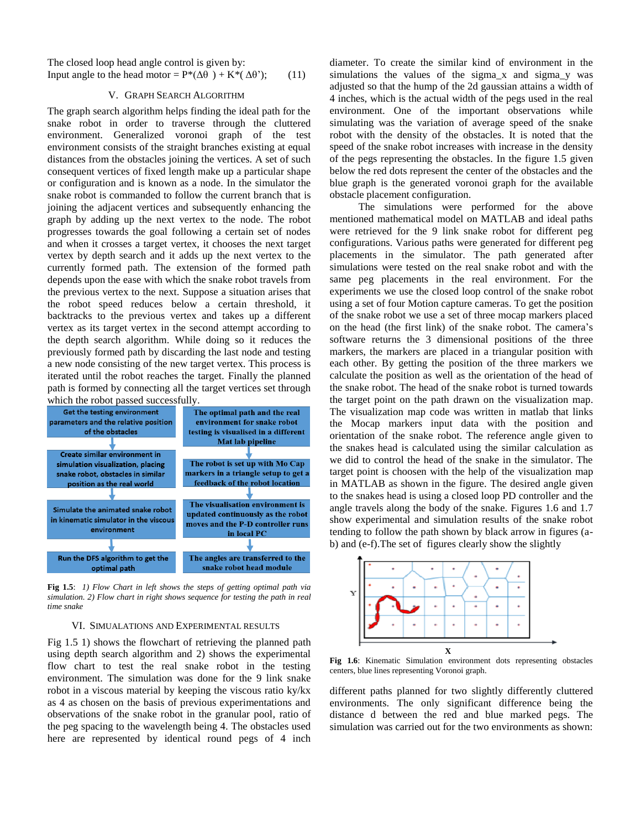The closed loop head angle control is given by: Input angle to the head motor =  $P^*(\Delta\theta) + K^*(\Delta\theta')$ ; (11)

## V. GRAPH SEARCH ALGORITHM

The graph search algorithm helps finding the ideal path for the snake robot in order to traverse through the cluttered environment. Generalized voronoi graph of the test environment consists of the straight branches existing at equal distances from the obstacles joining the vertices. A set of such consequent vertices of fixed length make up a particular shape or configuration and is known as a node. In the simulator the snake robot is commanded to follow the current branch that is joining the adjacent vertices and subsequently enhancing the graph by adding up the next vertex to the node. The robot progresses towards the goal following a certain set of nodes and when it crosses a target vertex, it chooses the next target vertex by depth search and it adds up the next vertex to the currently formed path. The extension of the formed path depends upon the ease with which the snake robot travels from the previous vertex to the next. Suppose a situation arises that the robot speed reduces below a certain threshold, it backtracks to the previous vertex and takes up a different vertex as its target vertex in the second attempt according to the depth search algorithm. While doing so it reduces the previously formed path by discarding the last node and testing a new node consisting of the new target vertex. This process is iterated until the robot reaches the target. Finally the planned path is formed by connecting all the target vertices set through which the robot passed successfully.



**Fig 1.5**: *1) Flow Chart in left shows the steps of getting optimal path via simulation. 2) Flow chart in right shows sequence for testing the path in real time snake* 

## VI. SIMUALATIONS AND EXPERIMENTAL RESULTS

Fig 1.5 1) shows the flowchart of retrieving the planned path using depth search algorithm and 2) shows the experimental flow chart to test the real snake robot in the testing environment. The simulation was done for the 9 link snake robot in a viscous material by keeping the viscous ratio ky/kx as 4 as chosen on the basis of previous experimentations and observations of the snake robot in the granular pool, ratio of the peg spacing to the wavelength being 4. The obstacles used here are represented by identical round pegs of 4 inch

diameter. To create the similar kind of environment in the simulations the values of the sigma x and sigma y was adjusted so that the hump of the 2d gaussian attains a width of 4 inches, which is the actual width of the pegs used in the real environment. One of the important observations while simulating was the variation of average speed of the snake robot with the density of the obstacles. It is noted that the speed of the snake robot increases with increase in the density of the pegs representing the obstacles. In the figure 1.5 given below the red dots represent the center of the obstacles and the blue graph is the generated voronoi graph for the available obstacle placement configuration.

 The simulations were performed for the above mentioned mathematical model on MATLAB and ideal paths were retrieved for the 9 link snake robot for different peg configurations. Various paths were generated for different peg placements in the simulator. The path generated after simulations were tested on the real snake robot and with the same peg placements in the real environment. For the experiments we use the closed loop control of the snake robot using a set of four Motion capture cameras. To get the position of the snake robot we use a set of three mocap markers placed on the head (the first link) of the snake robot. The camera's software returns the 3 dimensional positions of the three markers, the markers are placed in a triangular position with each other. By getting the position of the three markers we calculate the position as well as the orientation of the head of the snake robot. The head of the snake robot is turned towards the target point on the path drawn on the visualization map. The visualization map code was written in matlab that links the Mocap markers input data with the position and orientation of the snake robot. The reference angle given to the snakes head is calculated using the similar calculation as we did to control the head of the snake in the simulator. The target point is choosen with the help of the visualization map in MATLAB as shown in the figure. The desired angle given to the snakes head is using a closed loop PD controller and the angle travels along the body of the snake. Figures 1.6 and 1.7 show experimental and simulation results of the snake robot tending to follow the path shown by black arrow in figures (ab) and (e-f).The set of figures clearly show the slightly



**Fig 1.6**: Kinematic Simulation environment dots representing obstacles centers, blue lines representing Voronoi graph.

different paths planned for two slightly differently cluttered environments. The only significant difference being the distance d between the red and blue marked pegs. The simulation was carried out for the two environments as shown: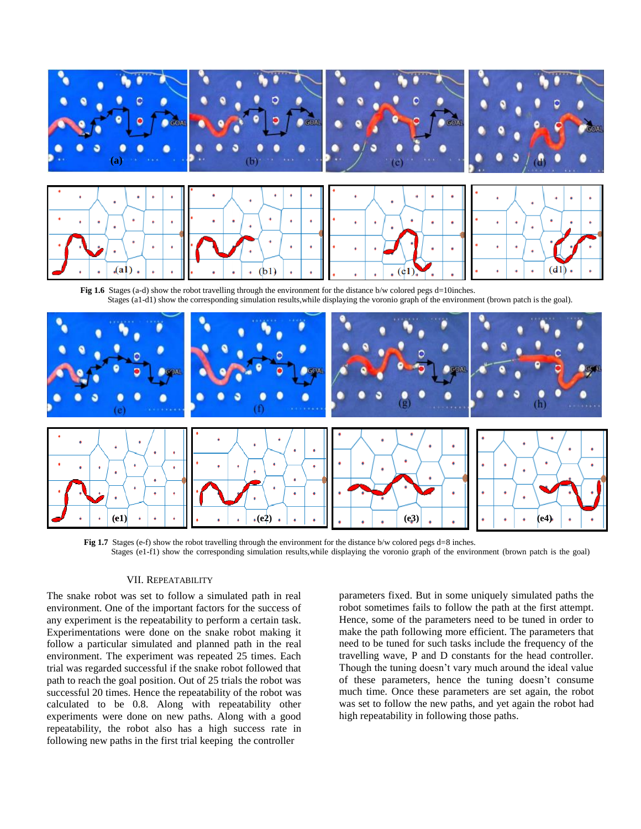

**Fig 1.7** Stages (e-f) show the robot travelling through the environment for the distance b/w colored pegs d=8 inches. Stages (e1-f1) show the corresponding simulation results,while displaying the voronio graph of the environment (brown patch is the goal)

**(e1) (e2) (e3) (e4)**

#### VII. REPEATABILITY

The snake robot was set to follow a simulated path in real environment. One of the important factors for the success of any experiment is the repeatability to perform a certain task. Experimentations were done on the snake robot making it follow a particular simulated and planned path in the real environment. The experiment was repeated 25 times. Each trial was regarded successful if the snake robot followed that path to reach the goal position. Out of 25 trials the robot was successful 20 times. Hence the repeatability of the robot was calculated to be 0.8. Along with repeatability other experiments were done on new paths. Along with a good repeatability, the robot also has a high success rate in following new paths in the first trial keeping the controller

parameters fixed. But in some uniquely simulated paths the robot sometimes fails to follow the path at the first attempt. Hence, some of the parameters need to be tuned in order to make the path following more efficient. The parameters that need to be tuned for such tasks include the frequency of the travelling wave, P and D constants for the head controller. Though the tuning doesn't vary much around the ideal value of these parameters, hence the tuning doesn't consume much time. Once these parameters are set again, the robot was set to follow the new paths, and yet again the robot had high repeatability in following those paths.